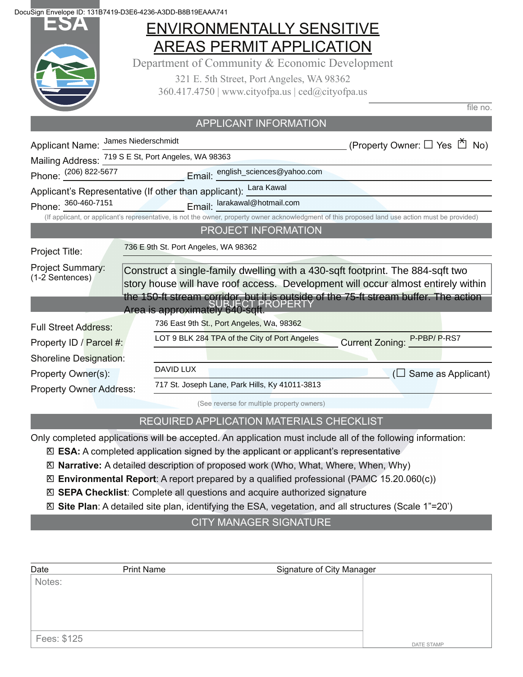**ESA** DocuSign Envelope ID: 131B7419-D3E6-4236-A3DD-B8B19EAAA741

## ENVIRONMENTALLY SENSITIVE AREAS PERMIT APPLICATION

Department of Community & Economic Development

321 E. 5th Street, Port Angeles, WA 98362 360.417.4750 | www.cityofpa.us | ced@cityofpa.us

 $file$  no.

|                                                     | APPLICANT INFORMATION                                                                                                                            |                                                                                  |
|-----------------------------------------------------|--------------------------------------------------------------------------------------------------------------------------------------------------|----------------------------------------------------------------------------------|
| Applicant Name: James Niederschmidt                 |                                                                                                                                                  | (Property Owner: □ Yes □ No)                                                     |
| Mailing Address: 719 S E St, Port Angeles, WA 98363 |                                                                                                                                                  |                                                                                  |
|                                                     |                                                                                                                                                  |                                                                                  |
|                                                     | Applicant's Representative (If other than applicant): Lara Kawal                                                                                 |                                                                                  |
|                                                     | Phone: 360-460-7151 Email: larakawal@hotmail.com                                                                                                 |                                                                                  |
|                                                     | (If applicant, or applicant's representative, is not the owner, property owner acknowledgment of this proposed land use action must be provided) |                                                                                  |
|                                                     | PROJECT INFORMATION                                                                                                                              |                                                                                  |
| Project Title:                                      | 736 E 9th St. Port Angeles, WA 98362                                                                                                             |                                                                                  |
| Project Summary:<br>(1-2 Sentences)                 | Construct a single-family dwelling with a 430-sqft footprint. The 884-sqft two                                                                   | story house will have roof access. Development will occur almost entirely within |
|                                                     | the 150-ft stream corridor, but it is outside of the 75-ft stream buffer. The action<br>Area is approximately 640-sqft.                          |                                                                                  |
| <b>Full Street Address:</b>                         | 736 East 9th St., Port Angeles, Wa, 98362                                                                                                        |                                                                                  |
| Property ID / Parcel #:                             | LOT 9 BLK 284 TPA of the City of Port Angeles                                                                                                    | Current Zoning: P-PBP/P-RS7                                                      |
| Shoreline Designation:                              |                                                                                                                                                  |                                                                                  |
| Property Owner(s):                                  | <b>DAVID LUX</b>                                                                                                                                 | Same as Applicant)                                                               |
| <b>Property Owner Address:</b>                      | 717 St. Joseph Lane, Park Hills, Ky 41011-3813                                                                                                   |                                                                                  |
|                                                     | (See reverse for multiple property owners)                                                                                                       |                                                                                  |

#### REQUIRED APPLICATION MATERIALS CHECKLIST

Only completed applications will be accepted. An application must include all of the following information:

- **ESA:** A completed application signed by the applicant or applicant's representative X
- **Narrative:** A detailed description of proposed work (Who, What, Where, When, Why) X
- ⊠ Environmental Report: A report prepared by a qualified professional (PAMC 15.20.060(c))
- **SEPA Checklist**: Complete all questions and acquire authorized signature X
- **Site Plan**: A detailed site plan, identifying the ESA, vegetation, and all structures (Scale 1"=20') X

CITY MANAGER SIGNATURE

| Date        | <b>Print Name</b> | Signature of City Manager |  |
|-------------|-------------------|---------------------------|--|
| Notes:      |                   |                           |  |
|             |                   |                           |  |
|             |                   |                           |  |
|             |                   |                           |  |
| Fees: \$125 |                   | <b>DATE STAMP</b>         |  |